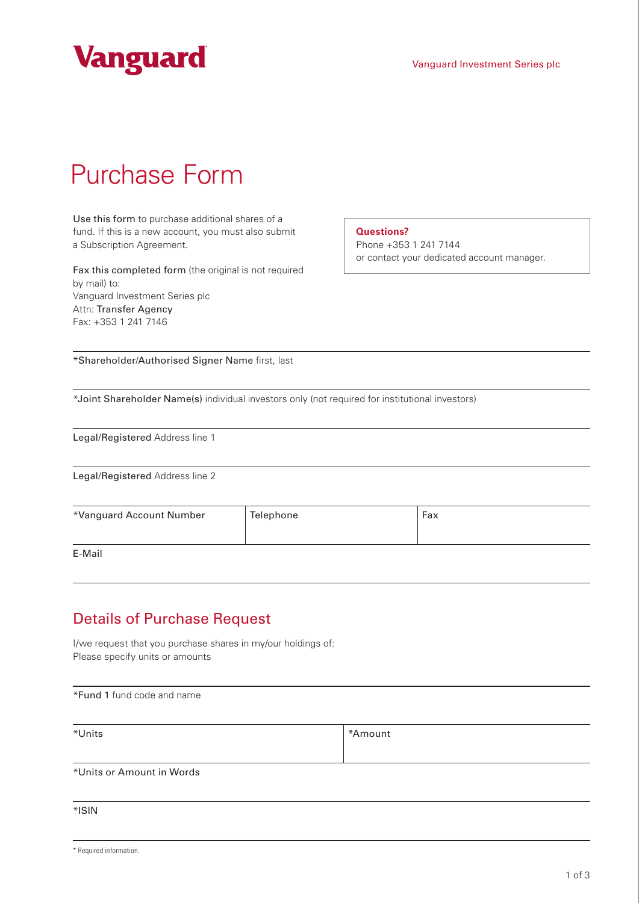



| <b>Purchase Form</b> |  |
|----------------------|--|
|                      |  |

Use this form to purchase additional shares of a fund. If this is a new account, you must also submit a Subscription Agreement.

Fax this completed form (the original is not required by mail) to: Vanguard Investment Series plc Attn: Transfer Agency Fax: +353 1 241 7146

**Questions?**

Phone +353 1 241 7144 or contact your dedicated account manager.

\*Shareholder/Authorised Signer Name first, last

\*Joint Shareholder Name(s) individual investors only (not required for institutional investors)

| Legal/Registered Address line 1 |  |  |  |
|---------------------------------|--|--|--|
|---------------------------------|--|--|--|

Legal/Registered Address line 2

| *Vanguard Account Number | Telephone | Fax |
|--------------------------|-----------|-----|
|                          |           |     |

E-Mail

## Details of Purchase Request

I/we request that you purchase shares in my/our holdings of: Please specify units or amounts

| *Fund 1 fund code and name |         |  |
|----------------------------|---------|--|
| *Units                     | *Amount |  |
|                            |         |  |
| *Units or Amount in Words  |         |  |
|                            |         |  |
| *ISIN                      |         |  |

\* Required information.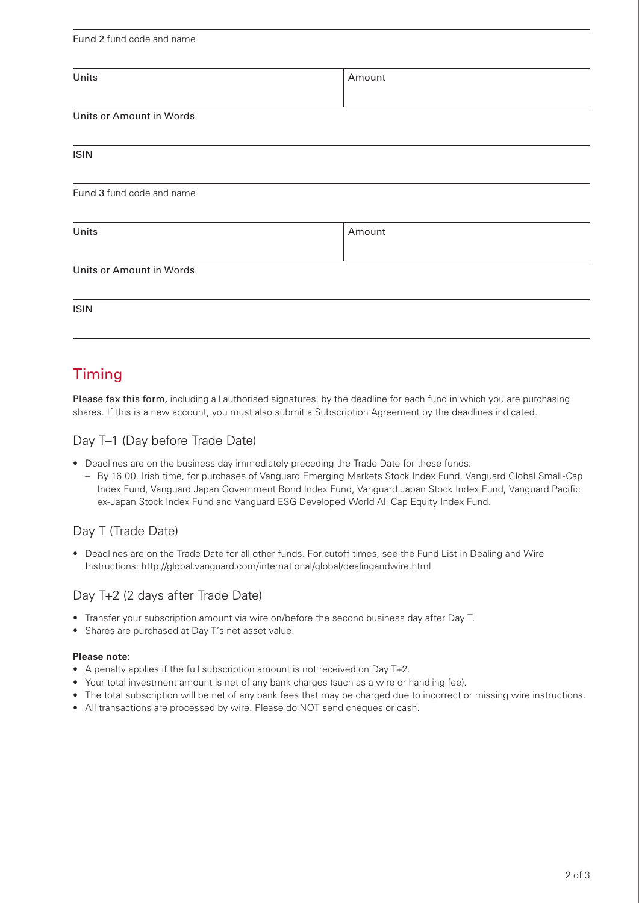| Fund 2 fund code and name |        |  |
|---------------------------|--------|--|
| Units                     | Amount |  |
| Units or Amount in Words  |        |  |
| <b>ISIN</b>               |        |  |
| Fund 3 fund code and name |        |  |
| Units                     | Amount |  |
| Units or Amount in Words  |        |  |
| <b>ISIN</b>               |        |  |

# Timing

Please fax this form, including all authorised signatures, by the deadline for each fund in which you are purchasing shares. If this is a new account, you must also submit a Subscription Agreement by the deadlines indicated.

### Day T–1 (Day before Trade Date)

- Deadlines are on the business day immediately preceding the Trade Date for these funds:
	- By 16.00, Irish time, for purchases of Vanguard Emerging Markets Stock Index Fund, Vanguard Global Small-Cap Index Fund, Vanguard Japan Government Bond Index Fund, Vanguard Japan Stock Index Fund, Vanguard Pacific ex-Japan Stock Index Fund and Vanguard ESG Developed World All Cap Equity Index Fund.

### Day T (Trade Date)

• Deadlines are on the Trade Date for all other funds. For cutoff times, see the Fund List in Dealing and Wire Instructions: http://global.vanguard.com/international/global/dealingandwire.html

### Day T+2 (2 days after Trade Date)

- Transfer your subscription amount via wire on/before the second business day after Day T.
- Shares are purchased at Day T's net asset value.

### **Please note:**

- A penalty applies if the full subscription amount is not received on Day T+2.
- Your total investment amount is net of any bank charges (such as a wire or handling fee).
- The total subscription will be net of any bank fees that may be charged due to incorrect or missing wire instructions.
- All transactions are processed by wire. Please do NOT send cheques or cash.